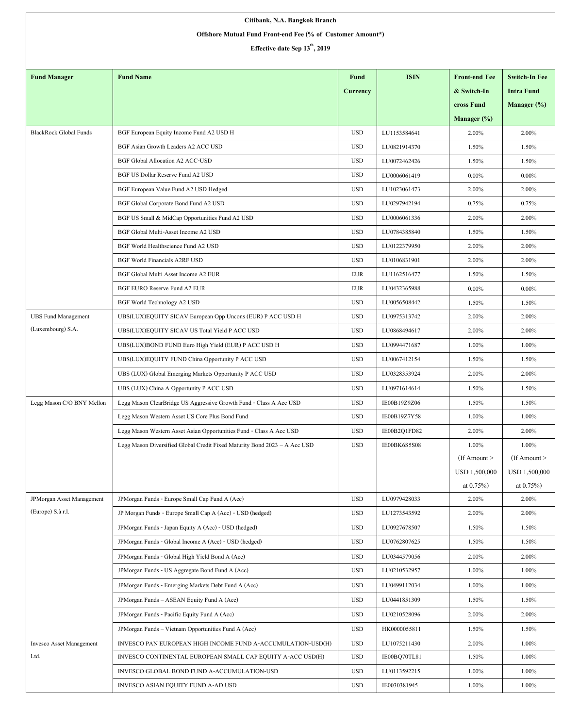| Citibank, N.A. Bangkok Branch                              |                                                                                                                                                  |            |                              |                      |                      |  |  |  |  |  |
|------------------------------------------------------------|--------------------------------------------------------------------------------------------------------------------------------------------------|------------|------------------------------|----------------------|----------------------|--|--|--|--|--|
| Offshore Mutual Fund Front-end Fee (% of Customer Amount*) |                                                                                                                                                  |            |                              |                      |                      |  |  |  |  |  |
| Effective date Sep 13 <sup>th</sup> , 2019                 |                                                                                                                                                  |            |                              |                      |                      |  |  |  |  |  |
|                                                            |                                                                                                                                                  |            |                              |                      |                      |  |  |  |  |  |
| <b>Fund Manager</b>                                        | <b>Fund Name</b>                                                                                                                                 | Fund       | <b>ISIN</b>                  | <b>Front-end Fee</b> | <b>Switch-In Fee</b> |  |  |  |  |  |
|                                                            |                                                                                                                                                  | Currency   |                              | & Switch-In          | <b>Intra Fund</b>    |  |  |  |  |  |
|                                                            |                                                                                                                                                  |            |                              | cross Fund           | Manager $(\%)$       |  |  |  |  |  |
|                                                            |                                                                                                                                                  |            |                              | Manager $(\%)$       |                      |  |  |  |  |  |
| <b>BlackRock Global Funds</b>                              | BGF European Equity Income Fund A2 USD H                                                                                                         | <b>USD</b> | LU1153584641                 | 2.00%                | 2.00%                |  |  |  |  |  |
|                                                            | BGF Asian Growth Leaders A2 ACC USD                                                                                                              | <b>USD</b> | LU0821914370                 | 1.50%                | 1.50%                |  |  |  |  |  |
|                                                            | <b>BGF Global Allocation A2 ACC-USD</b>                                                                                                          | <b>USD</b> | LU0072462426                 | 1.50%                | 1.50%                |  |  |  |  |  |
|                                                            | BGF US Dollar Reserve Fund A2 USD                                                                                                                | <b>USD</b> | LU0006061419                 | $0.00\%$             | $0.00\%$             |  |  |  |  |  |
|                                                            | BGF European Value Fund A2 USD Hedged                                                                                                            | <b>USD</b> | LU1023061473                 | 2.00%                | 2.00%                |  |  |  |  |  |
|                                                            | BGF Global Corporate Bond Fund A2 USD                                                                                                            | <b>USD</b> | LU0297942194                 | 0.75%                | 0.75%                |  |  |  |  |  |
|                                                            | BGF US Small & MidCap Opportunities Fund A2 USD                                                                                                  | <b>USD</b> | LU0006061336                 | 2.00%                | 2.00%                |  |  |  |  |  |
|                                                            | BGF Global Multi-Asset Income A2 USD                                                                                                             | <b>USD</b> | LU0784385840                 | 1.50%                | 1.50%                |  |  |  |  |  |
|                                                            | BGF World Healthscience Fund A2 USD                                                                                                              | <b>USD</b> | LU0122379950                 | 2.00%                | 2.00%                |  |  |  |  |  |
|                                                            | <b>BGF World Financials A2RF USD</b>                                                                                                             | <b>USD</b> | LU0106831901                 | 2.00%                | 2.00%                |  |  |  |  |  |
|                                                            | BGF Global Multi Asset Income A2 EUR                                                                                                             | <b>EUR</b> | LU1162516477                 | 1.50%                | 1.50%                |  |  |  |  |  |
|                                                            | BGF EURO Reserve Fund A2 EUR                                                                                                                     | EUR        | LU0432365988                 | $0.00\%$             | $0.00\%$             |  |  |  |  |  |
|                                                            | BGF World Technology A2 USD                                                                                                                      | <b>USD</b> | LU0056508442                 | 1.50%                | 1.50%                |  |  |  |  |  |
| <b>UBS Fund Management</b>                                 | UBS(LUX)EQUITY SICAV European Opp Uncons (EUR) P ACC USD H                                                                                       | <b>USD</b> | LU0975313742                 | 2.00%                | 2.00%                |  |  |  |  |  |
| (Luxembourg) S.A.                                          | UBS(LUX)EQUITY SICAV US Total Yield P ACC USD                                                                                                    | <b>USD</b> | LU0868494617                 | 2.00%                | 2.00%                |  |  |  |  |  |
|                                                            | UBS(LUX)BOND FUND Euro High Yield (EUR) P ACC USD H                                                                                              | <b>USD</b> | LU0994471687                 | 1.00%                | 1.00%                |  |  |  |  |  |
|                                                            | UBS(LUX)EQUITY FUND China Opportunity P ACC USD                                                                                                  | <b>USD</b> | LU0067412154                 | 1.50%                | 1.50%                |  |  |  |  |  |
|                                                            | UBS (LUX) Global Emerging Markets Opportunity P ACC USD                                                                                          | <b>USD</b> | LU0328353924                 | 2.00%                | 2.00%                |  |  |  |  |  |
|                                                            | UBS (LUX) China A Opportunity P ACC USD                                                                                                          | <b>USD</b> | LU0971614614                 | 1.50%                | 1.50%                |  |  |  |  |  |
| Legg Mason C/O BNY Mellon                                  |                                                                                                                                                  | <b>USD</b> | IE00B19Z9Z06                 | 1.50%                | 1.50%                |  |  |  |  |  |
|                                                            | Legg Mason ClearBridge US Aggressive Growth Fund - Class A Acc USD<br>Legg Mason Western Asset US Core Plus Bond Fund                            | <b>USD</b> | IE00B19Z7Y58                 | 1.00%                | 1.00%                |  |  |  |  |  |
|                                                            |                                                                                                                                                  | <b>USD</b> |                              |                      |                      |  |  |  |  |  |
|                                                            | Legg Mason Western Asset Asian Opportunities Fund - Class A Acc USD<br>Legg Mason Diversified Global Credit Fixed Maturity Bond 2023 - A Acc USD | <b>USD</b> | IE00B2Q1FD82<br>IE00BK6S5S08 | 2.00%<br>1.00%       | 2.00%<br>1.00%       |  |  |  |  |  |
|                                                            |                                                                                                                                                  |            |                              | $If$ Amount $>$      | (If Amount $>$       |  |  |  |  |  |
|                                                            |                                                                                                                                                  |            |                              | <b>USD 1,500,000</b> | USD 1,500,000        |  |  |  |  |  |
|                                                            |                                                                                                                                                  |            |                              | at $0.75%$           | at $0.75\%$ )        |  |  |  |  |  |
| JPMorgan Asset Management                                  | JPMorgan Funds - Europe Small Cap Fund A (Acc)                                                                                                   | <b>USD</b> | LU0979428033                 | 2.00%                | 2.00%                |  |  |  |  |  |
| (Europe) S.à r.l.                                          | JP Morgan Funds - Europe Small Cap A (Acc) - USD (hedged)                                                                                        | <b>USD</b> | LU1273543592                 | 2.00%                | 2.00%                |  |  |  |  |  |
|                                                            | JPMorgan Funds - Japan Equity A (Acc) - USD (hedged)                                                                                             | <b>USD</b> | LU0927678507                 | 1.50%                | 1.50%                |  |  |  |  |  |
|                                                            | JPMorgan Funds - Global Income A (Acc) - USD (hedged)                                                                                            | <b>USD</b> | LU0762807625                 | 1.50%                | 1.50%                |  |  |  |  |  |
|                                                            | JPMorgan Funds - Global High Yield Bond A (Acc)                                                                                                  | <b>USD</b> | LU0344579056                 | 2.00%                | 2.00%                |  |  |  |  |  |
|                                                            | JPMorgan Funds - US Aggregate Bond Fund A (Acc)                                                                                                  | <b>USD</b> | LU0210532957                 | 1.00%                | 1.00%                |  |  |  |  |  |
|                                                            | JPMorgan Funds - Emerging Markets Debt Fund A (Acc)                                                                                              | <b>USD</b> | LU0499112034                 | 1.00%                | 1.00%                |  |  |  |  |  |
|                                                            |                                                                                                                                                  |            |                              |                      |                      |  |  |  |  |  |
|                                                            | JPMorgan Funds - ASEAN Equity Fund A (Acc)                                                                                                       | <b>USD</b> | LU0441851309                 | 1.50%                | 1.50%                |  |  |  |  |  |
|                                                            | JPMorgan Funds - Pacific Equity Fund A (Acc)                                                                                                     | <b>USD</b> | LU0210528096                 | 2.00%                | 2.00%                |  |  |  |  |  |
|                                                            | JPMorgan Funds - Vietnam Opportunities Fund A (Acc)                                                                                              | <b>USD</b> | HK0000055811                 | 1.50%                | 1.50%                |  |  |  |  |  |
| Invesco Asset Management                                   | INVESCO PAN EUROPEAN HIGH INCOME FUND A-ACCUMULATION-USD(H)                                                                                      | <b>USD</b> | LU1075211430                 | 2.00%                | 1.00%                |  |  |  |  |  |
| Ltd.                                                       | INVESCO CONTINENTAL EUROPEAN SMALL CAP EQUITY A-ACC USD(H)                                                                                       | <b>USD</b> | IE00BQ70TL81                 | 1.50%                | 1.00%                |  |  |  |  |  |
|                                                            | INVESCO GLOBAL BOND FUND A-ACCUMULATION-USD                                                                                                      | <b>USD</b> | LU0113592215                 | 1.00%                | 1.00%                |  |  |  |  |  |
|                                                            | INVESCO ASIAN EQUITY FUND A-AD USD                                                                                                               | <b>USD</b> | IE0030381945                 | 1.00%                | 1.00%                |  |  |  |  |  |